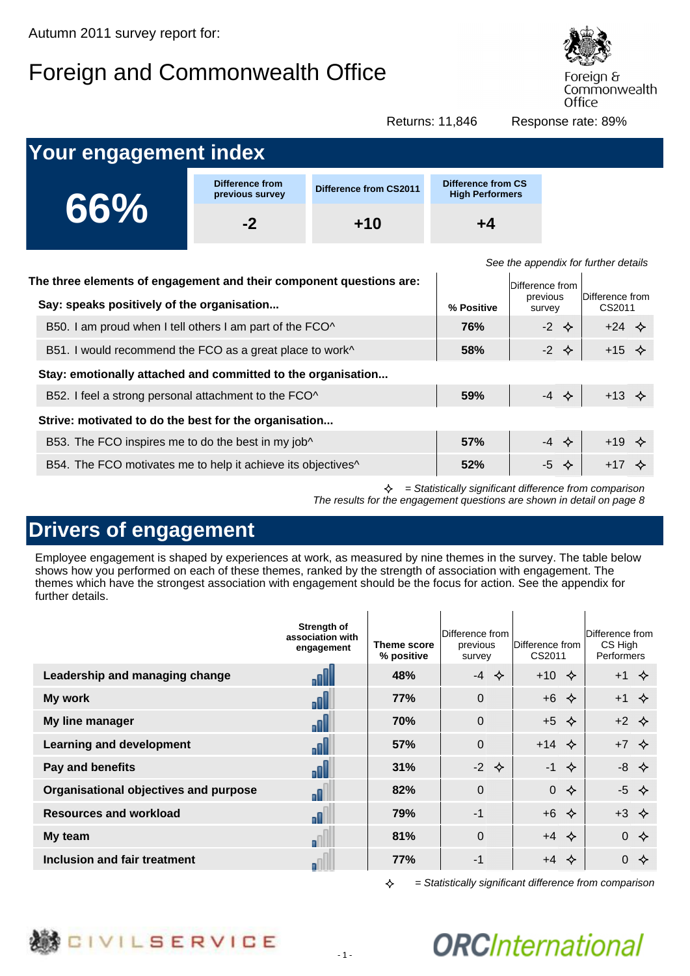# Foreign and Commonwealth Office



Foreign & Commonwealth Office

Returns: 11,846 Response rate: 89%

| <b>Your engagement index</b>                                        |                                    |                               |                                              |                                      |
|---------------------------------------------------------------------|------------------------------------|-------------------------------|----------------------------------------------|--------------------------------------|
|                                                                     | Difference from<br>previous survey | <b>Difference from CS2011</b> | Difference from CS<br><b>High Performers</b> |                                      |
| 66%                                                                 | $-2$                               | $+10$                         | $+4$                                         |                                      |
| The three elements of engagement and their component questions are: |                                    |                               | $\Gamma$                                     | See the appendix for further details |

| The three elements of engagement and their component questions are:<br>Say: speaks positively of the organisation | % Positive | Difference from<br>previous<br>survey | Difference from<br>CS2011 |
|-------------------------------------------------------------------------------------------------------------------|------------|---------------------------------------|---------------------------|
| B50. I am proud when I tell others I am part of the FCO^                                                          | <b>76%</b> | $-2$ $\diamond$                       | $+24$ $\diamond$          |
| B51. I would recommend the FCO as a great place to work^                                                          | 58%        | $-2 \diamond$                         | $+15$ $\diamond$          |
| Stay: emotionally attached and committed to the organisation                                                      |            |                                       |                           |
| B52. I feel a strong personal attachment to the FCO^                                                              | 59%        | $-4$ $\diamond$                       | $+13$ $\diamond$          |
| Strive: motivated to do the best for the organisation                                                             |            |                                       |                           |
| B53. The FCO inspires me to do the best in my job^                                                                | 57%        | $-4$ $\diamond$                       | $+19$ $\diamond$          |
| B54. The FCO motivates me to help it achieve its objectives <sup>^</sup>                                          | 52%        | $-5 \diamond$                         | $+17$ $\diamond$          |

 $\triangle$  = Statistically significant difference from comparison The results for the engagement questions are shown in detail on page 8

### **Drivers of engagement**

Employee engagement is shaped by experiences at work, as measured by nine themes in the survey. The table below shows how you performed on each of these themes, ranked by the strength of association with engagement. The themes which have the strongest association with engagement should be the focus for action. See the appendix for further details.

|                                       | Strength of<br>association with<br>engagement | Theme score<br>% positive | Difference from<br>previous<br>survey | Difference from<br>CS2011 | Difference from<br>CS High<br><b>Performers</b> |
|---------------------------------------|-----------------------------------------------|---------------------------|---------------------------------------|---------------------------|-------------------------------------------------|
| Leadership and managing change        |                                               | 48%                       | $-4$ $\diamond$                       | $+10 \div$                | $+1$ $\diamond$                                 |
| My work                               | oN                                            | 77%                       | $\Omega$                              | $+6$<br>✧                 | $+1$                                            |
| My line manager                       | ا اه                                          | 70%                       | $\Omega$                              | $+5$ $\diamondsuit$       | $+2$ $\diamond$                                 |
| <b>Learning and development</b>       | اللہ                                          | 57%                       | $\Omega$                              | $+14$ $\diamond$          | $+7$ $\diamond$                                 |
| Pay and benefits                      | ا اه                                          | 31%                       | $-2$ $\Leftrightarrow$                | $-1$<br>✧                 | $-8$ $\Leftrightarrow$                          |
| Organisational objectives and purpose | π                                             | 82%                       | $\Omega$                              | $\overline{0}$<br>✧       | $-5$ $\diamond$                                 |
| <b>Resources and workload</b>         | o                                             | 79%                       | $-1$                                  | $+6$ $\Leftrightarrow$    | $+3$ $\diamond$                                 |
| My team                               |                                               | 81%                       | $\Omega$                              | $+4$ $\diamond$           | $0 \diamondsuit$                                |
| Inclusion and fair treatment          |                                               | 77%                       | -1                                    | $+4$<br>❖                 | $0 \diamond$                                    |

 $\rightsquigarrow$ = Statistically significant difference from comparison

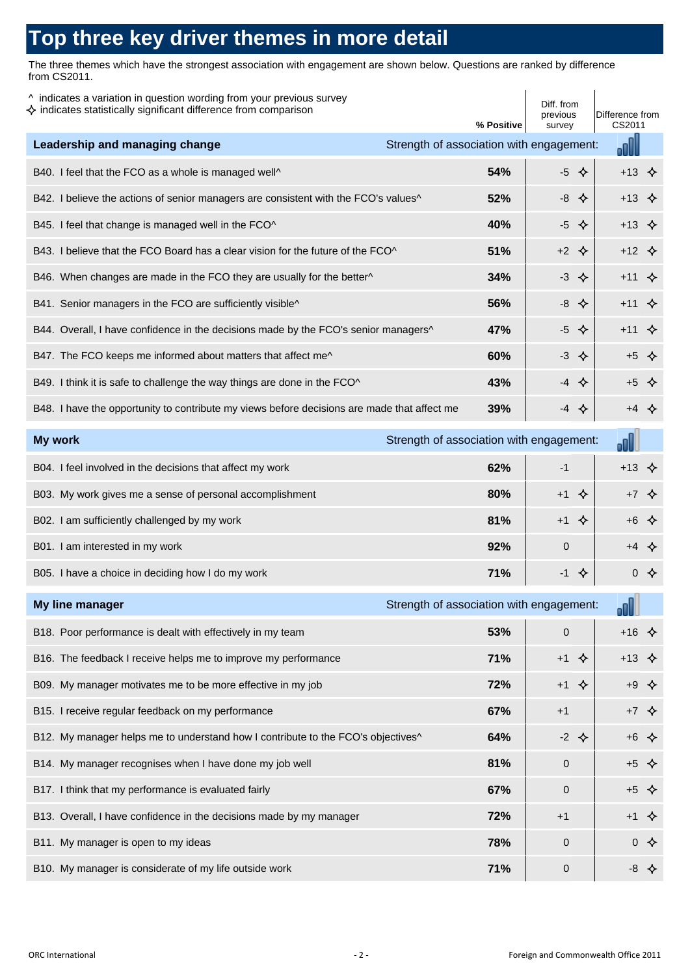## **Top three key driver themes in more detail**

The three themes which have the strongest association with engagement are shown below. Questions are ranked by difference from CS2011.

| ^ indicates a variation in question wording from your previous survey<br>$\diamondsuit$ indicates statistically significant difference from comparison | % Positive                               | Diff. from<br>previous<br>survey | Difference from<br>CS2011 |  |
|--------------------------------------------------------------------------------------------------------------------------------------------------------|------------------------------------------|----------------------------------|---------------------------|--|
| Leadership and managing change                                                                                                                         | Strength of association with engagement: |                                  | oOl                       |  |
| B40. I feel that the FCO as a whole is managed well^                                                                                                   | 54%                                      | $-5$ $\leftrightarrow$           | $+13$ $\diamond$          |  |
| B42. I believe the actions of senior managers are consistent with the FCO's values^                                                                    | 52%                                      | $-8$ $\Leftrightarrow$           | $+13$ $\Leftrightarrow$   |  |
| B45. I feel that change is managed well in the FCO^                                                                                                    | 40%                                      | $-5$ $\Leftrightarrow$           | $+13 \triangle$           |  |
| B43. I believe that the FCO Board has a clear vision for the future of the FCO^                                                                        | 51%                                      | $+2$ $\diamondsuit$              | $+12$ $\diamond$          |  |
| B46. When changes are made in the FCO they are usually for the better^                                                                                 | 34%                                      | $-3$ $\diamond$                  | $+11$ $\diamond$          |  |
| B41. Senior managers in the FCO are sufficiently visible^                                                                                              | 56%                                      | $-8$ $\Leftrightarrow$           | $+11$ $\diamond$          |  |
| B44. Overall, I have confidence in the decisions made by the FCO's senior managers^                                                                    | 47%                                      | $-5$ $\Leftrightarrow$           | $+11$ $\Leftrightarrow$   |  |
| B47. The FCO keeps me informed about matters that affect me^                                                                                           | 60%                                      | $-3 \diamond $                   | $+5$ $\Leftrightarrow$    |  |
| B49. I think it is safe to challenge the way things are done in the FCO^                                                                               | 43%                                      |                                  | $+5$ $\diamondsuit$       |  |
| B48. I have the opportunity to contribute my views before decisions are made that affect me                                                            | 39%                                      | $-4$ $\diamond$                  | $+4$ $\Leftrightarrow$    |  |
| My work                                                                                                                                                | Strength of association with engagement: |                                  | d۱                        |  |
| B04. I feel involved in the decisions that affect my work                                                                                              | 62%                                      | $-1$                             | $+13$ $\Leftrightarrow$   |  |
| B03. My work gives me a sense of personal accomplishment                                                                                               | 80%                                      | $+1$<br>❖                        | $+7$ $\diamondsuit$       |  |
| B02. I am sufficiently challenged by my work                                                                                                           | 81%                                      |                                  | $+6$ $\Leftrightarrow$    |  |
| B01. I am interested in my work                                                                                                                        | 92%                                      | $\overline{0}$                   | $+4$ $\diamondsuit$       |  |
| B05. I have a choice in deciding how I do my work                                                                                                      | 71%                                      |                                  | $0 \Leftrightarrow$       |  |
| My line manager                                                                                                                                        | Strength of association with engagement: |                                  | oO                        |  |
| B18. Poor performance is dealt with effectively in my team                                                                                             | 53%                                      | 0                                | $+16$ $\diamond$          |  |
| B16. The feedback I receive helps me to improve my performance                                                                                         | 71%                                      | $+1$ $\diamondsuit$              | $+13$ $\diamondsuit$      |  |
| B09. My manager motivates me to be more effective in my job                                                                                            | 72%                                      | $+1$ $\Leftrightarrow$           | $+9$ $\Leftrightarrow$    |  |
| B15. I receive regular feedback on my performance                                                                                                      | 67%                                      | $+1$                             | $+7$ $\Leftrightarrow$    |  |
| B12. My manager helps me to understand how I contribute to the FCO's objectives^                                                                       | 64%                                      | $-2$ $\Leftrightarrow$           | $+6$ $\Leftrightarrow$    |  |
| B14. My manager recognises when I have done my job well                                                                                                | 81%                                      | 0                                | $+5$ $\Leftrightarrow$    |  |
| B17. I think that my performance is evaluated fairly                                                                                                   | 67%                                      | $\mathbf 0$                      | $+5$ $\Leftrightarrow$    |  |
| B13. Overall, I have confidence in the decisions made by my manager                                                                                    | 72%                                      | $+1$                             | $+1$ $\Leftrightarrow$    |  |
| B11. My manager is open to my ideas                                                                                                                    | 78%                                      | 0                                | $0 \Leftrightarrow$       |  |
| B10. My manager is considerate of my life outside work                                                                                                 | 71%                                      | 0                                | $-8$ $\Leftrightarrow$    |  |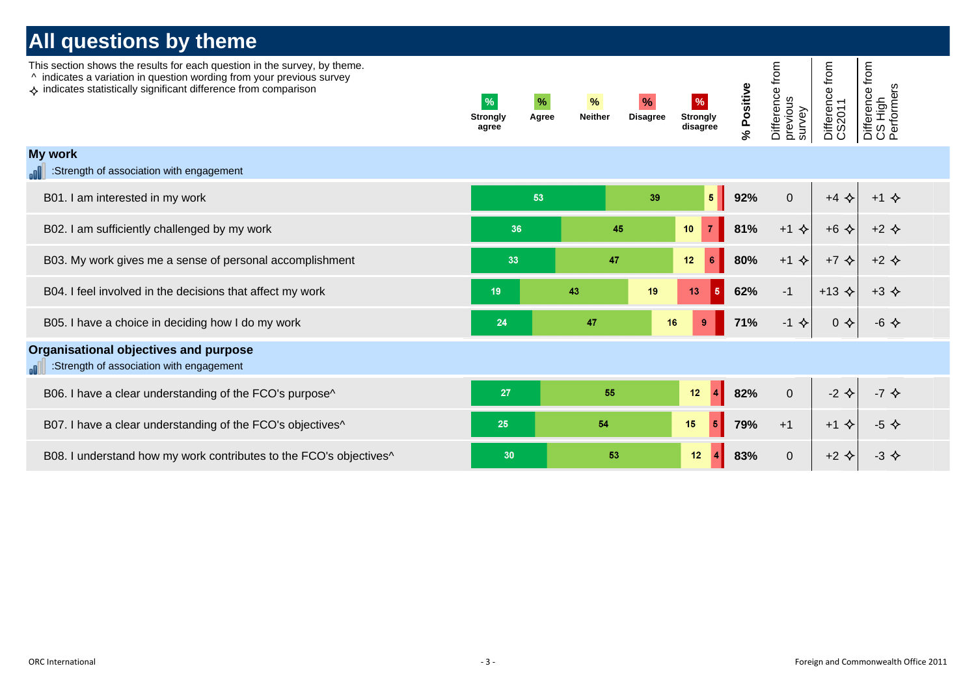| This section shows the results for each question in the survey, by theme.<br>^ indicates a variation in question wording from your previous survey<br>$\Leftrightarrow$ indicates statistically significant difference from comparison | $\%$<br><b>Strongly</b><br>agree | $\%$<br>Agree | $\%$<br><b>Neither</b> | $\frac{9}{6}$<br><b>Disagree</b> | $\%$<br><b>Strongly</b><br>disagree  | % Positive | Difference from<br>previous<br>survey | from<br>Difference f<br>CS2011 | Difference from<br>CS High<br>Performers |  |
|----------------------------------------------------------------------------------------------------------------------------------------------------------------------------------------------------------------------------------------|----------------------------------|---------------|------------------------|----------------------------------|--------------------------------------|------------|---------------------------------------|--------------------------------|------------------------------------------|--|
| My work<br>:Strength of association with engagement                                                                                                                                                                                    |                                  |               |                        |                                  |                                      |            |                                       |                                |                                          |  |
| B01. I am interested in my work                                                                                                                                                                                                        |                                  | 53            |                        | 39                               | $\overline{\mathbf{5}}$              | 92%        | $\mathbf{0}$                          | $+4$ $\Leftrightarrow$         | $+1$ $\diamond$                          |  |
| B02. I am sufficiently challenged by my work                                                                                                                                                                                           | 36                               |               | 45                     |                                  | $\overline{7}$<br>10                 | 81%        | $+1$ $\Leftrightarrow$                | $+6$ $\Leftrightarrow$         | $+2$ $\Leftrightarrow$                   |  |
| B03. My work gives me a sense of personal accomplishment                                                                                                                                                                               | 33                               |               | 47                     |                                  | $12 \overline{ }$<br>$6\phantom{1}6$ | 80%        | $+1$ $\Leftrightarrow$                | $+7$ $\diamond$                | $+2$ $\Leftrightarrow$                   |  |
| B04. I feel involved in the decisions that affect my work                                                                                                                                                                              | 19                               |               | 43                     | 19                               | $\overline{5}$<br>13                 | 62%        | $-1$                                  | $+13$ $\triangle$              | $+3$ $\Leftrightarrow$                   |  |
| B05. I have a choice in deciding how I do my work                                                                                                                                                                                      | 24                               |               | 47                     | 16                               | 9                                    | 71%        | $-1$ $\Leftrightarrow$                | $0 \Leftrightarrow$            | $-6$ $\Leftrightarrow$                   |  |
| Organisational objectives and purpose<br>:Strength of association with engagement<br>.all                                                                                                                                              |                                  |               |                        |                                  |                                      |            |                                       |                                |                                          |  |
| B06. I have a clear understanding of the FCO's purpose^                                                                                                                                                                                | 27                               |               | 55                     |                                  | 12<br>$\overline{4}$                 | 82%        | $\mathbf 0$                           | $-2$ $\Leftrightarrow$         | $-7$ $\Leftrightarrow$                   |  |
| B07. I have a clear understanding of the FCO's objectives <sup>^</sup>                                                                                                                                                                 | 25                               |               | 54                     |                                  | 15<br>$5\overline{5}$                | 79%        | $+1$                                  | $+1$ $\diamond$                | $-5$ $\diamond$                          |  |
| B08. I understand how my work contributes to the FCO's objectives <sup>^</sup>                                                                                                                                                         | 30                               |               | 53                     |                                  | 12<br>4                              | 83%        | $\mathbf 0$                           | $+2$ $\Leftrightarrow$         | $-3$ $\Leftrightarrow$                   |  |
|                                                                                                                                                                                                                                        |                                  |               |                        |                                  |                                      |            |                                       |                                |                                          |  |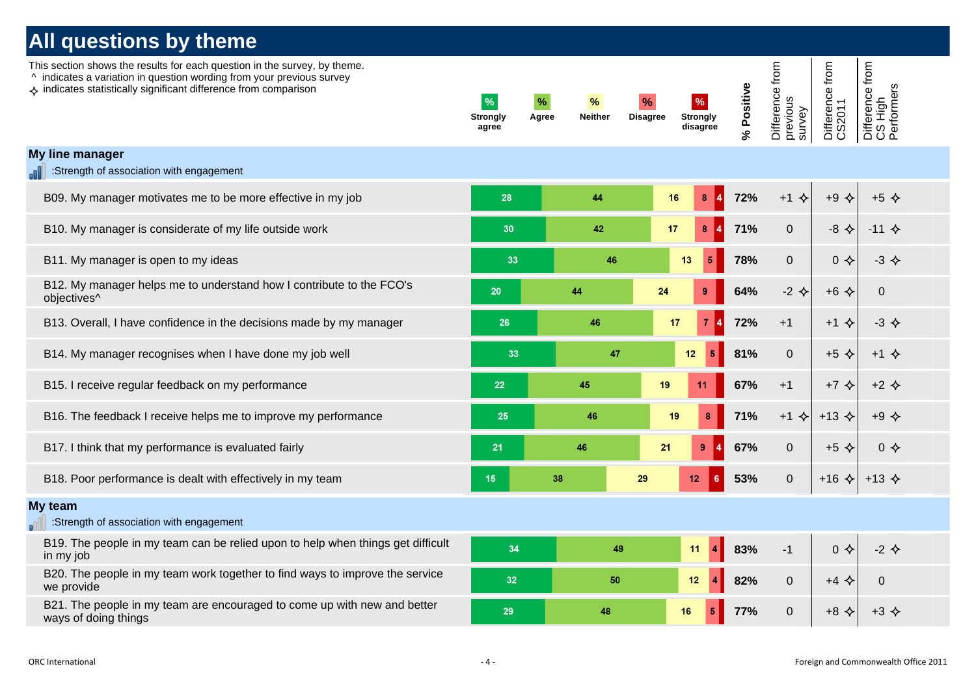| This section shows the results for each question in the survey, by theme.<br>^ indicates a variation in question wording from your previous survey<br>$\leftrightarrow$ indicates statistically significant difference from comparison | $\frac{9}{6}$<br>Strongly<br>agree | $\%$<br>%<br>Agree<br><b>Neither</b> | $\%$<br>%<br><b>Disagree</b><br><b>Strongly</b><br>disagree | % Positive | Difference from<br>previous<br>survey | from<br>Difference 1<br>CS2011 | Difference from<br>CS High<br>Performers |
|----------------------------------------------------------------------------------------------------------------------------------------------------------------------------------------------------------------------------------------|------------------------------------|--------------------------------------|-------------------------------------------------------------|------------|---------------------------------------|--------------------------------|------------------------------------------|
| My line manager<br>:Strength of association with engagement                                                                                                                                                                            |                                    |                                      |                                                             |            |                                       |                                |                                          |
| B09. My manager motivates me to be more effective in my job                                                                                                                                                                            | 28                                 | 44                                   | 16<br>8                                                     | 72%        | $+1$<br>♦                             | $+9$ $\Leftrightarrow$         | $+5$ $\triangle$                         |
| B10. My manager is considerate of my life outside work                                                                                                                                                                                 | 30                                 | 42                                   | 17<br>8                                                     | 71%        | $\mathbf 0$                           | $-8$ $\Leftrightarrow$         | $-11$ $\diamond$                         |
| B11. My manager is open to my ideas                                                                                                                                                                                                    | 33                                 | 46                                   | 13<br>$5\phantom{1}$                                        | 78%        | $\mathbf 0$                           | $0 \Leftrightarrow$            | $-3 \diamond$                            |
| B12. My manager helps me to understand how I contribute to the FCO's<br>objectives <sup>^</sup>                                                                                                                                        | 20                                 | 44                                   | 24<br>9                                                     | 64%        | $-2$ $\Leftrightarrow$                | $+6$ $\triangle$               | $\Omega$                                 |
| B13. Overall, I have confidence in the decisions made by my manager                                                                                                                                                                    | 26                                 | 46                                   | 17<br>7 <sup>1</sup>                                        | 72%        | $+1$                                  | $+1$ $\diamond$                | $-3$ $\Leftrightarrow$                   |
| B14. My manager recognises when I have done my job well                                                                                                                                                                                | 33                                 | 47                                   | 12<br>5                                                     | 81%        | $\mathbf 0$                           | $+5$ $\triangle$               | $+1$ $\Leftrightarrow$                   |
| B15. I receive regular feedback on my performance                                                                                                                                                                                      | 22                                 | 45                                   | 19<br>11                                                    | 67%        | $+1$                                  | $+7$ $\diamond$                | $+2$ $\Leftrightarrow$                   |
| B16. The feedback I receive helps me to improve my performance                                                                                                                                                                         | 25                                 | 46                                   | 19<br>8                                                     | 71%        | $+1$ $\diamond$                       | $+13$ $\triangle$              | $+9$ $\Leftrightarrow$                   |
| B17. I think that my performance is evaluated fairly                                                                                                                                                                                   | 21                                 | 46                                   | 21<br>9                                                     | 67%        | $\mathbf 0$                           | $+5$ $\diamond$                | $0 \diamond$                             |
| B18. Poor performance is dealt with effectively in my team                                                                                                                                                                             | 15                                 | 38                                   | 29<br>12<br>6                                               | 53%        | $\mathbf 0$                           | $+16$ $\triangle$              | $+13$ $\triangle$                        |
| My team<br>:Strength of association with engagement                                                                                                                                                                                    |                                    |                                      |                                                             |            |                                       |                                |                                          |
| B19. The people in my team can be relied upon to help when things get difficult<br>in my job                                                                                                                                           | 34                                 | 49                                   | 11                                                          | 83%        | $-1$                                  | $0 \diamondsuit$               | $-2$ $\Leftrightarrow$                   |
| B20. The people in my team work together to find ways to improve the service<br>we provide                                                                                                                                             | 32                                 | 50                                   | 12 <sub>2</sub>                                             | 82%        | $\mathbf 0$                           | $+4$ $\diamond$                | $\Omega$                                 |
| B21. The people in my team are encouraged to come up with new and better<br>ways of doing things                                                                                                                                       | 29                                 | 48                                   | 16<br>-5                                                    | 77%        | $\mathbf 0$                           | $+8$ $\Leftrightarrow$         | $+3$ $\diamond$                          |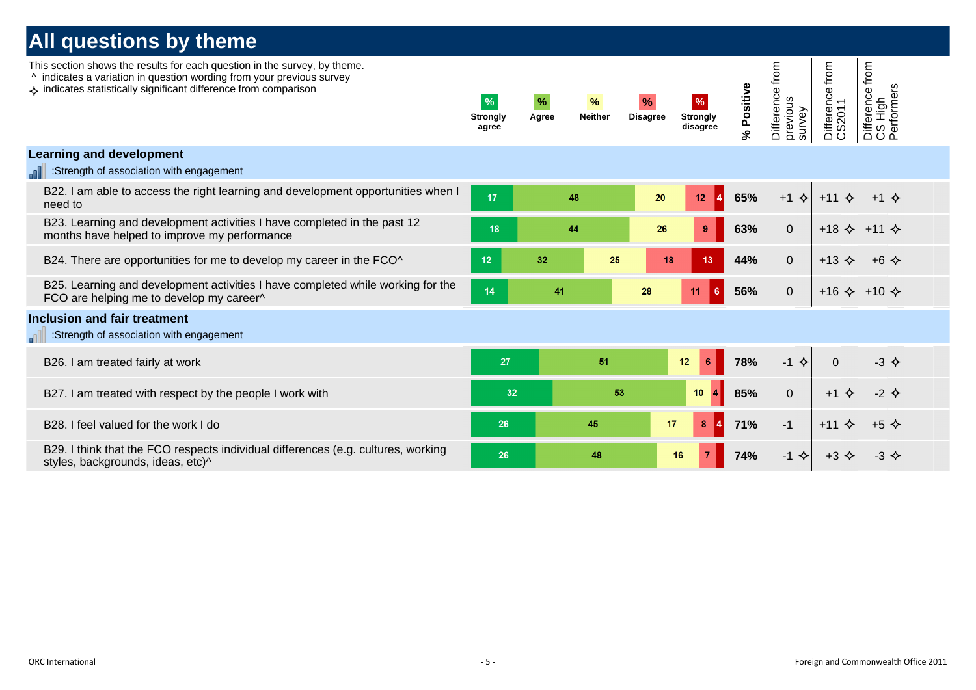|     | <b>All questions by theme</b>                                                                                                                                                                                                          |                                           |               |                        |                                  |                                     |            |                                       |                           |                                          |  |
|-----|----------------------------------------------------------------------------------------------------------------------------------------------------------------------------------------------------------------------------------------|-------------------------------------------|---------------|------------------------|----------------------------------|-------------------------------------|------------|---------------------------------------|---------------------------|------------------------------------------|--|
|     | This section shows the results for each question in the survey, by theme.<br>^ indicates a variation in question wording from your previous survey<br>$\leftrightarrow$ indicates statistically significant difference from comparison | $\frac{9}{6}$<br><b>Strongly</b><br>agree | $\%$<br>Agree | $\%$<br><b>Neither</b> | $\frac{9}{6}$<br><b>Disagree</b> | $\%$<br><b>Strongly</b><br>disagree | % Positive | Difference from<br>previous<br>survey | Difference from<br>CS2011 | Difference from<br>CS High<br>Performers |  |
|     | <b>Learning and development</b>                                                                                                                                                                                                        |                                           |               |                        |                                  |                                     |            |                                       |                           |                                          |  |
|     | :Strength of association with engagement                                                                                                                                                                                               |                                           |               |                        |                                  |                                     |            |                                       |                           |                                          |  |
|     | B22. I am able to access the right learning and development opportunities when I<br>need to                                                                                                                                            | 17                                        |               | 48                     | 20                               | 12<br>$\vert 4 \vert$               | 65%        | $+1$ $\Leftrightarrow$                | $+11$ $\diamond$          | $+1$ $\diamond$                          |  |
|     | B23. Learning and development activities I have completed in the past 12<br>months have helped to improve my performance                                                                                                               | 18                                        |               | 44                     | 26                               | $9^{\circ}$                         | 63%        | $\overline{0}$                        | $+18$ $\triangle$         | $+11$ $\diamond$                         |  |
|     | B24. There are opportunities for me to develop my career in the FCO^                                                                                                                                                                   | 12 <sub>2</sub>                           | 32            | 25                     | 18                               | 13                                  | 44%        | $\overline{0}$                        | $+13$ $\diamond$          | $+6$ $\Leftrightarrow$                   |  |
|     | B25. Learning and development activities I have completed while working for the<br>FCO are helping me to develop my career^                                                                                                            | 14                                        | 41            |                        | 28                               | 11<br>$6^{\circ}$                   | 56%        | $\overline{0}$                        | $+16 \leftarrow$          | $+10 \diamond $                          |  |
| all | <b>Inclusion and fair treatment</b><br>:Strength of association with engagement                                                                                                                                                        |                                           |               |                        |                                  |                                     |            |                                       |                           |                                          |  |
|     | B26. I am treated fairly at work                                                                                                                                                                                                       | 27                                        |               | 51                     |                                  | 12<br>6                             | 78%        | $-1$ $\Leftrightarrow$                | $\mathbf{0}$              | $-3$ $\Leftrightarrow$                   |  |
|     | B27. I am treated with respect by the people I work with                                                                                                                                                                               | 32                                        |               | 53                     |                                  | 10<br>14                            | 85%        | $\overline{0}$                        | $+1$ $\Leftrightarrow$    | $-2$ $\Leftrightarrow$                   |  |
|     | B28. I feel valued for the work I do                                                                                                                                                                                                   | 26                                        |               | 45                     | 17                               | 8<br>14                             | 71%        | $-1$                                  | $+11$ $\diamond$          | $+5$ $\Leftrightarrow$                   |  |
|     | B29. I think that the FCO respects individual differences (e.g. cultures, working<br>styles, backgrounds, ideas, etc)^                                                                                                                 | 26                                        |               | 48                     |                                  | $\overline{7}$<br>16                | 74%        | $-1$ $\Leftrightarrow$                | $+3$ $\Leftrightarrow$    | $-3$ $\Leftrightarrow$                   |  |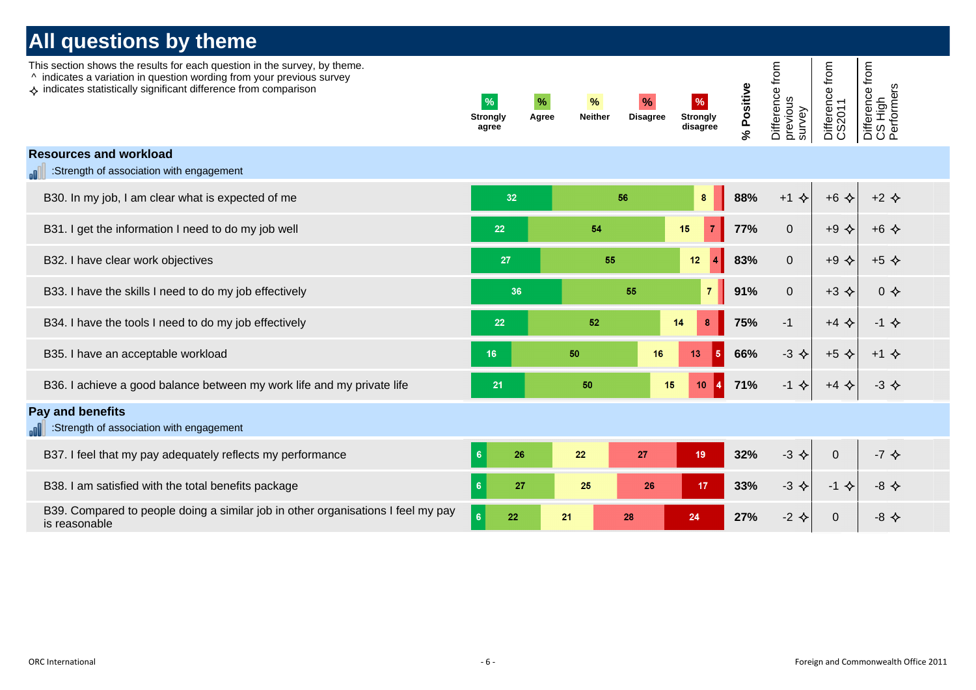| This section shows the results for each question in the survey, by theme.<br>^ indicates a variation in question wording from your previous survey<br>♦ indicates statistically significant difference from comparison | $\%$<br><b>Strongly</b><br>agree | $\%$<br>Agree | $\%$<br><b>Neither</b> | $\%$<br><b>Disagree</b> | $\%$<br><b>Strongly</b><br>disagree | % Positive | Difference from<br>previous<br>survey | Difference from<br>CS2011 | Difference from<br>CS High<br>Performers |  |
|------------------------------------------------------------------------------------------------------------------------------------------------------------------------------------------------------------------------|----------------------------------|---------------|------------------------|-------------------------|-------------------------------------|------------|---------------------------------------|---------------------------|------------------------------------------|--|
| <b>Resources and workload</b>                                                                                                                                                                                          |                                  |               |                        |                         |                                     |            |                                       |                           |                                          |  |
| Strength of association with engagement                                                                                                                                                                                |                                  |               |                        |                         |                                     |            |                                       |                           |                                          |  |
| B30. In my job, I am clear what is expected of me                                                                                                                                                                      | 32                               |               |                        | 56                      | 8                                   | 88%        | $+1$ $\Leftrightarrow$                | $+6$ $\Leftrightarrow$    | $+2$ $\Leftrightarrow$                   |  |
| B31. I get the information I need to do my job well                                                                                                                                                                    | 22                               |               | 54                     |                         | 15<br>$\overline{7}$                | 77%        | $\overline{0}$                        | $+9$ $\Leftrightarrow$    | $+6$ $\Leftrightarrow$                   |  |
| B32. I have clear work objectives                                                                                                                                                                                      | 27                               |               | 55                     |                         | 12<br>$\overline{4}$                | 83%        | $\mathbf{0}$                          | $+9$ $\Leftrightarrow$    | $+5$ $\Leftrightarrow$                   |  |
| B33. I have the skills I need to do my job effectively                                                                                                                                                                 | 36                               |               |                        | 55                      | $\overline{7}$                      | 91%        | $\overline{0}$                        | $+3$ $\Leftrightarrow$    | $0 \diamondsuit$                         |  |
| B34. I have the tools I need to do my job effectively                                                                                                                                                                  | 22                               |               | 52                     |                         | $\pmb{8}$<br>14                     | 75%        | $-1$                                  | $+4$ $\Leftrightarrow$    | $-1$ $\Leftrightarrow$                   |  |
| B35. I have an acceptable workload                                                                                                                                                                                     | 16 <sup>°</sup>                  |               | 50                     | 16                      | 13<br>5 <sub>5</sub>                | 66%        | $-3$ $\Leftrightarrow$                | $+5$ $\Leftrightarrow$    | $+1$ $\Leftrightarrow$                   |  |
| B36. I achieve a good balance between my work life and my private life                                                                                                                                                 | 21                               |               | 50                     | 15                      | 10<br>$\vert 4 \vert$               | 71%        | $-1$ $\Leftrightarrow$                | $+4$ $\Leftrightarrow$    | $-3$ $\Leftrightarrow$                   |  |
| Pay and benefits                                                                                                                                                                                                       |                                  |               |                        |                         |                                     |            |                                       |                           |                                          |  |
| :Strength of association with engagement<br>اللام                                                                                                                                                                      |                                  |               |                        |                         |                                     |            |                                       |                           |                                          |  |
| B37. I feel that my pay adequately reflects my performance                                                                                                                                                             | $\sqrt{6}$<br>26                 |               | 22                     | 27                      | 19                                  | 32%        | $-3$ $\Leftrightarrow$                | $\Omega$                  | $-7$ $\Leftrightarrow$                   |  |
| B38. I am satisfied with the total benefits package                                                                                                                                                                    | $6\phantom{a}6$<br>27            |               | 25                     | 26                      | 17 <sub>1</sub>                     | 33%        | $-3$ $\diamond$                       | $-1$ $\Leftrightarrow$    | $-8$ $\Leftrightarrow$                   |  |
| B39. Compared to people doing a similar job in other organisations I feel my pay<br>is reasonable                                                                                                                      | 6<br>22                          |               | 21                     | 28                      | 24                                  | 27%        | $-2$ $\Leftrightarrow$                | $\mathbf 0$               | $-8$ $\Leftrightarrow$                   |  |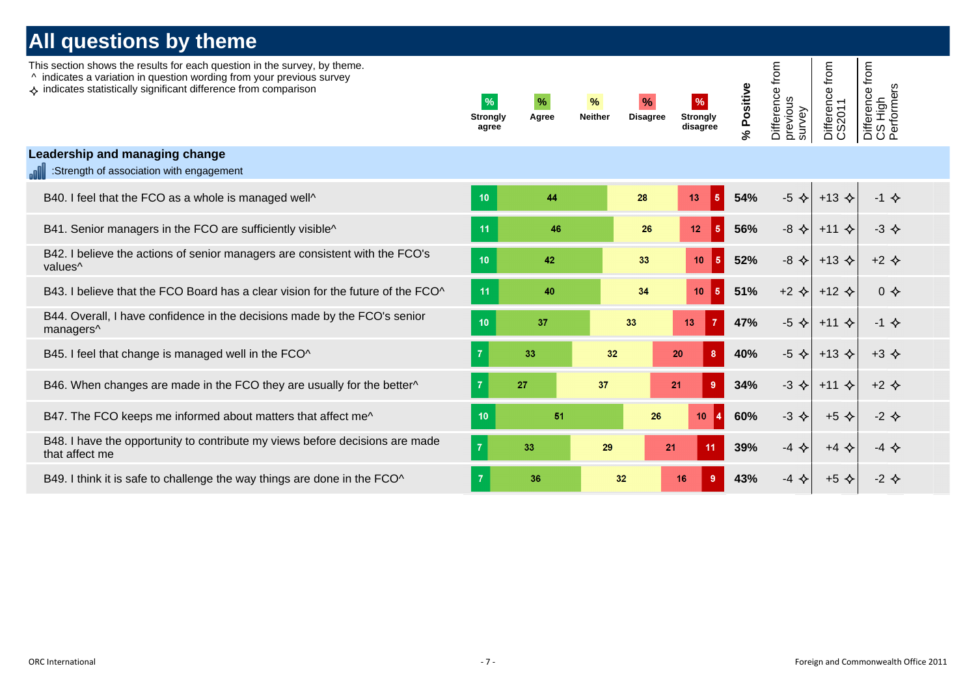| This section shows the results for each question in the survey, by theme.<br>^ indicates a variation in question wording from your previous survey<br>$\leftrightarrow$ indicates statistically significant difference from comparison | $\frac{9}{6}$<br><b>Strongly</b><br>agree | $\%$<br>Agree | %<br><b>Neither</b> | $\%$<br><b>Disagree</b> | $\%$<br><b>Strongly</b><br>disagree | % Positive | Difference from<br>previous<br>survey | from<br>Difference 1<br>CS2011 | Difference from<br>CS High<br>Performers |  |
|----------------------------------------------------------------------------------------------------------------------------------------------------------------------------------------------------------------------------------------|-------------------------------------------|---------------|---------------------|-------------------------|-------------------------------------|------------|---------------------------------------|--------------------------------|------------------------------------------|--|
| Leadership and managing change<br>:Strength of association with engagement                                                                                                                                                             |                                           |               |                     |                         |                                     |            |                                       |                                |                                          |  |
| B40. I feel that the FCO as a whole is managed well^                                                                                                                                                                                   | 10                                        | 44            |                     | 28                      | $-5$<br>13                          | 54%        | $-5$ $\Leftrightarrow$                | $+13$ $\triangle$              | $-1$ $\Leftrightarrow$                   |  |
| B41. Senior managers in the FCO are sufficiently visible^                                                                                                                                                                              | 11                                        | 46            |                     | 26                      | 12<br>5                             | 56%        | $-8$ $\Leftrightarrow$                | $+11$ $\diamond$               | $-3$ $\Leftrightarrow$                   |  |
| B42. I believe the actions of senior managers are consistent with the FCO's<br>values <sup>^</sup>                                                                                                                                     | 10                                        | 42            |                     | 33                      | 10<br>5 <sub>5</sub>                | 52%        | $-8$ $\Leftrightarrow$                | $+13$ $\triangle$              | $+2$ $\Leftrightarrow$                   |  |
| B43. I believe that the FCO Board has a clear vision for the future of the FCO^                                                                                                                                                        | 11                                        | 40            |                     | 34                      | 5 <sub>1</sub><br>10                | 51%        | $+2$ $\Leftrightarrow$                | $+12$ $\triangle$              | $0 \Leftrightarrow$                      |  |
| B44. Overall, I have confidence in the decisions made by the FCO's senior<br>managers^                                                                                                                                                 | 10                                        | 37            |                     | 33                      | 13                                  | 47%        | $-5$ $\triangle$                      | $+11$ $\diamond$               | $-1$ $\leftrightarrow$                   |  |
| B45. I feel that change is managed well in the FCO^                                                                                                                                                                                    | $\overline{7}$                            | 33            | 32                  |                         | 20<br>-8                            | 40%        | $-5$ $\Leftrightarrow$                | $+13$ $\triangle$              | $+3$ $\Leftrightarrow$                   |  |
| B46. When changes are made in the FCO they are usually for the better^                                                                                                                                                                 | $\overline{7}$                            | 27            | 37                  |                         | 9<br>21                             | 34%        | $-3$ $\Leftrightarrow$                | $+11$ $\diamond$               | $+2$ $\triangle$                         |  |
| B47. The FCO keeps me informed about matters that affect me^                                                                                                                                                                           | 10                                        | 51            |                     | 26                      | 10                                  | 60%        | $-3$ $\Leftrightarrow$                | $+5$ $\triangle$               | $-2$ $\Leftrightarrow$                   |  |
| B48. I have the opportunity to contribute my views before decisions are made<br>that affect me                                                                                                                                         | $\overline{7}$                            | 33            | 29                  | 21                      | 11                                  | 39%        | $-4$ $\Leftrightarrow$                | $+4$ $\Leftrightarrow$         | $-4$ $\Leftrightarrow$                   |  |
| B49. I think it is safe to challenge the way things are done in the FCO^                                                                                                                                                               | $\overline{7}$                            | 36            | 32 <sub>2</sub>     |                         | 16<br>9                             | 43%        | $-4$ $\Leftrightarrow$                | $+5$ $\diamondsuit$            | $-2$ $\Leftrightarrow$                   |  |
|                                                                                                                                                                                                                                        |                                           |               |                     |                         |                                     |            |                                       |                                |                                          |  |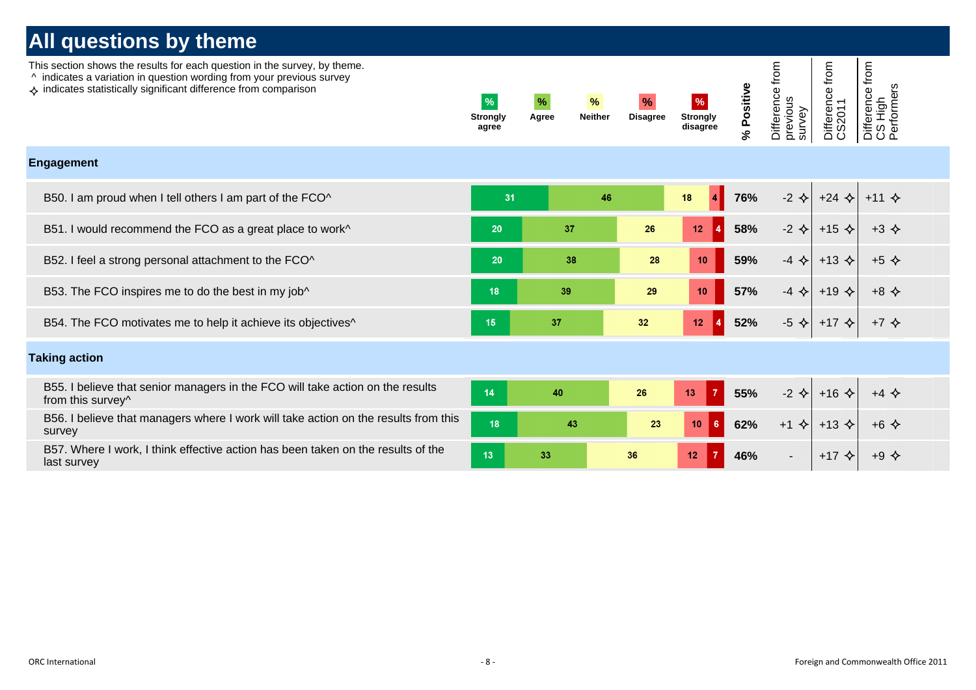This section shows the results for each question in the survey, by theme.

- ^ indicates a variation in question wording from your previous survey
- $\leftrightarrow$  indicates statistically significant difference from comparison

| $\frac{9}{6}$            | %     | $\frac{9}{6}$  | $\%$            | $\frac{9}{6}$               |
|--------------------------|-------|----------------|-----------------|-----------------------------|
| <b>Strongly</b><br>agree | Agree | <b>Neither</b> | <b>Disagree</b> | <b>Strongly</b><br>disagree |

**% Positive** Difference from previous survey

Difference from Difference from CS High Performers

Difference from

#### **Engagement**

| B50. I am proud when I tell others I am part of the FCO^                 | 31 |    | 46              | 18              | 76% |                        | $-2$ $\diamond$ +24 $\diamond$ +11 $\diamond$ |                        |
|--------------------------------------------------------------------------|----|----|-----------------|-----------------|-----|------------------------|-----------------------------------------------|------------------------|
| B51. I would recommend the FCO as a great place to work^                 | 20 | 37 | 26              | 12              | 58% | $-2$ $\diamond$        | $+15$ $\triangle$                             | $+3$ $\Leftrightarrow$ |
| B52. I feel a strong personal attachment to the FCO^                     | 20 | 38 | 28              | 10              | 59% | $-4$ $\leftrightarrow$ |                                               |                        |
| B53. The FCO inspires me to do the best in my job^                       | 18 | 39 | 29              | 10              | 57% | $-4$ $\leftrightarrow$ |                                               | $+8$ $\Leftrightarrow$ |
| B54. The FCO motivates me to help it achieve its objectives <sup>^</sup> | 15 | 37 | 32 <sub>2</sub> | 12 <sup>1</sup> | 52% | -5<br>—∢≻              |                                               |                        |

#### **Taking action**

| B55. I believe that senior managers in the FCO will take action on the results<br>from this survey <sup>^</sup> |    | 40 |    | 13 | 55% | $-2$ $\leftrightarrow$ |  |
|-----------------------------------------------------------------------------------------------------------------|----|----|----|----|-----|------------------------|--|
| B56. I believe that managers where I work will take action on the results from this<br>survey                   | 18 |    |    |    | 62% | $+1$ $\leftrightarrow$ |  |
| B57. Where I work, I think effective action has been taken on the results of the<br>last survey                 |    |    | 36 |    | 46% |                        |  |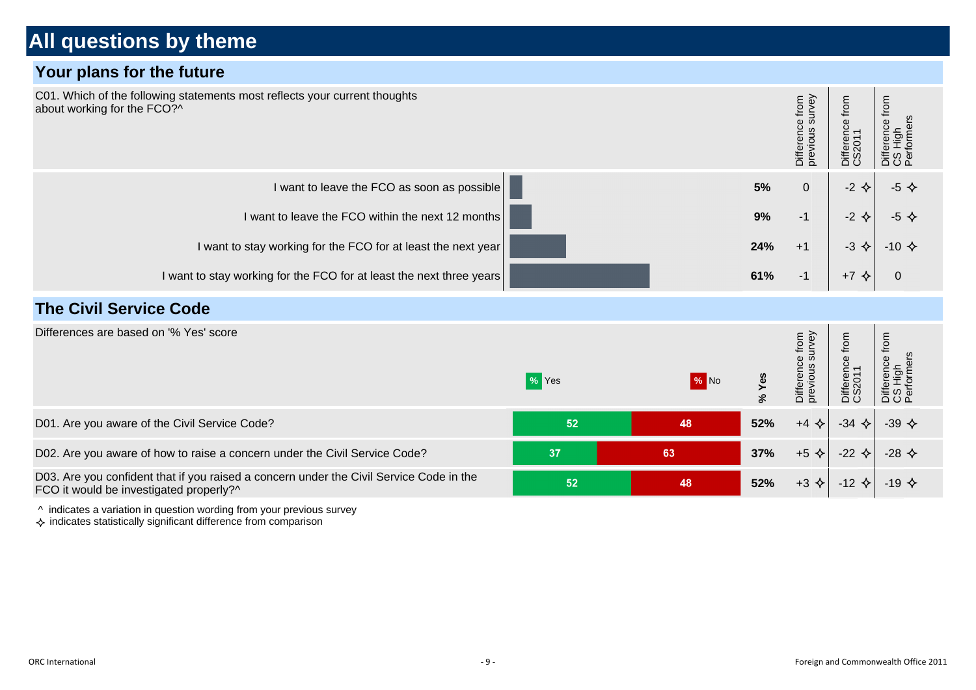#### **Your plans for the future**



^ indicates a variation in question wording from your previous survey

 $\Diamond$  indicates statistically significant difference from comparison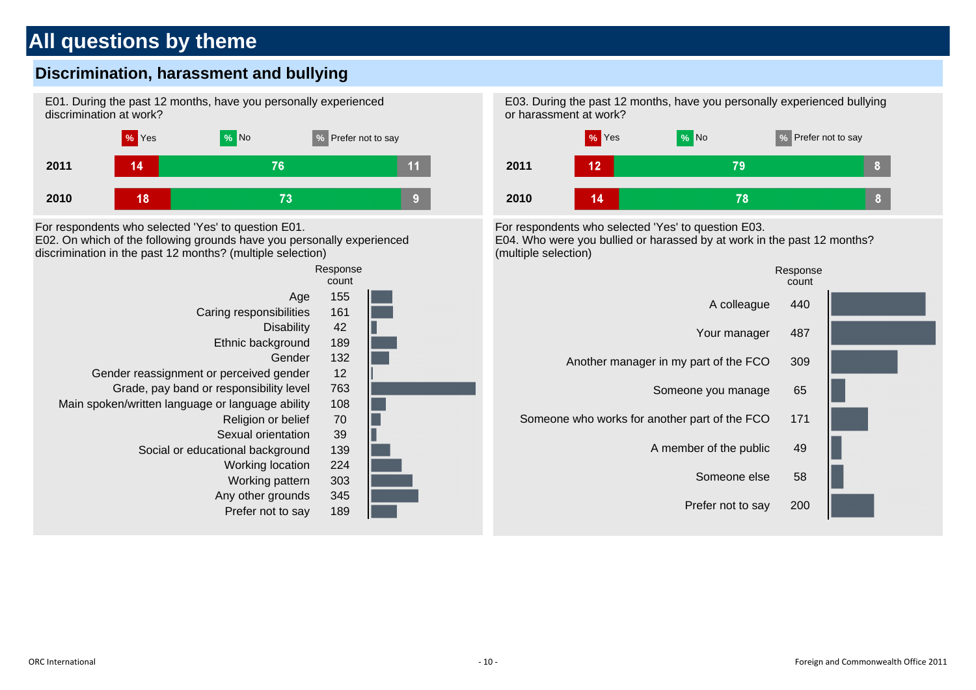### **Discrimination, harassment and bullying**





For respondents who selected 'Yes' to question E01. E02. On which of the following grounds have you personally experienced







For respondents who selected 'Yes' to question E03. E04. Who were you bullied or harassed by at work in the past 12 months? (multiple selection)

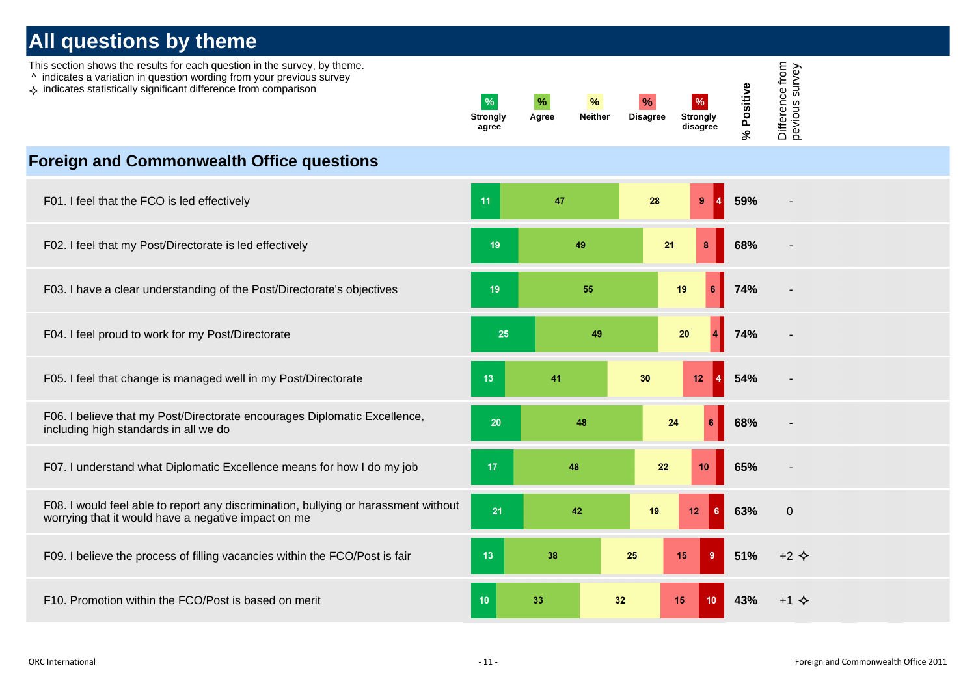This section shows the results for each question in the survey, by theme.

- ^ indicates a variation in question wording from your previous survey
- $\leftrightarrow$  indicates statistically significant difference from comparison

| %<br><b>Strongly</b><br>agree | %<br>Agree | $\%$<br><b>Neither</b> | $\frac{1}{2}$<br><b>Disagree</b> | %<br><b>Strongly</b><br>disagree | Φ<br>€<br>n<br>o<br>o.<br>న | ٥<br>ഉ<br>႙<br>–<br>Ø<br>ഗ<br>ወ<br>Φ<br>≒<br>Φ<br>Q |
|-------------------------------|------------|------------------------|----------------------------------|----------------------------------|-----------------------------|-----------------------------------------------------|
|-------------------------------|------------|------------------------|----------------------------------|----------------------------------|-----------------------------|-----------------------------------------------------|

#### **Foreign and Commonwealth Office questions**

| F01. I feel that the FCO is led effectively                                                                                                | 11              | 47 | 28<br>9                      | 59% |                        |
|--------------------------------------------------------------------------------------------------------------------------------------------|-----------------|----|------------------------------|-----|------------------------|
| F02. I feel that my Post/Directorate is led effectively                                                                                    | 19              | 49 | 21<br>8                      | 68% |                        |
| F03. I have a clear understanding of the Post/Directorate's objectives                                                                     | 19              | 55 | 19<br>6                      | 74% |                        |
| F04. I feel proud to work for my Post/Directorate                                                                                          | 25              | 49 | ${\bf 20}$<br>$\overline{4}$ | 74% |                        |
| F05. I feel that change is managed well in my Post/Directorate                                                                             | 13              | 41 | 30<br>$12$                   | 54% |                        |
| F06. I believe that my Post/Directorate encourages Diplomatic Excellence,<br>including high standards in all we do                         | 20              | 48 | 24<br>6                      | 68% |                        |
| F07. I understand what Diplomatic Excellence means for how I do my job                                                                     | 17              | 48 | 22<br>10                     | 65% |                        |
| F08. I would feel able to report any discrimination, bullying or harassment without<br>worrying that it would have a negative impact on me | 21              | 42 | 19<br>12 <sub>2</sub><br>  6 | 63% | $\mathbf 0$            |
| F09. I believe the process of filling vacancies within the FCO/Post is fair                                                                | 13              | 38 | 15<br>9<br>25                | 51% | $+2$ $\Leftrightarrow$ |
| F10. Promotion within the FCO/Post is based on merit                                                                                       | 10 <sup>°</sup> | 33 | 32<br>15<br>10               | 43% | $+1$ $\diamond$        |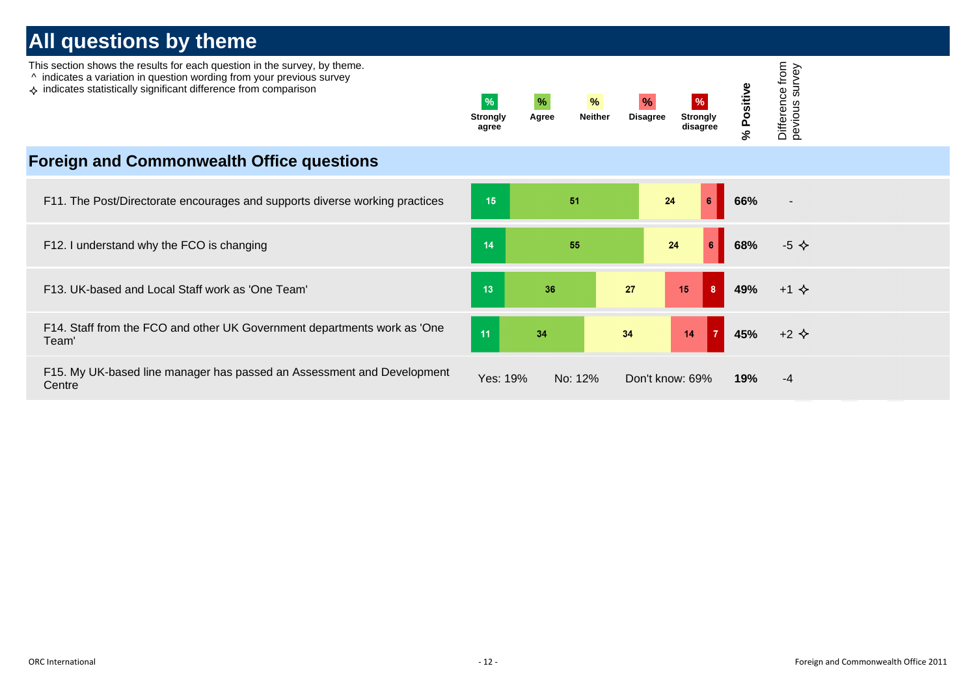| This section shows the results for each question in the survey, by theme.<br>^ indicates a variation in question wording from your previous survey<br>$\leftrightarrow$ indicates statistically significant difference from comparison | $\frac{9}{6}$<br><b>Strongly</b><br>agree | $\%$<br>$\frac{9}{6}$<br><b>Neither</b><br>Agree | $\%$<br><b>Disagree</b> | $\%$<br><b>Strongly</b><br>disagree | Positiv<br>$\mathcal{S}$ | from<br>survey<br>පි<br>Differend<br>pevious |
|----------------------------------------------------------------------------------------------------------------------------------------------------------------------------------------------------------------------------------------|-------------------------------------------|--------------------------------------------------|-------------------------|-------------------------------------|--------------------------|----------------------------------------------|
| <b>Foreign and Commonwealth Office questions</b>                                                                                                                                                                                       |                                           |                                                  |                         |                                     |                          |                                              |
| F11. The Post/Directorate encourages and supports diverse working practices                                                                                                                                                            | 15                                        | 51                                               |                         | 24<br>6                             | 66%                      |                                              |
| F12. I understand why the FCO is changing                                                                                                                                                                                              | 14                                        | 55                                               |                         | 6<br>24                             | 68%                      | $-5$ $\Leftrightarrow$                       |
| F13. UK-based and Local Staff work as 'One Team'                                                                                                                                                                                       | 13                                        | 36                                               | 27                      | $\overline{\mathbf{8}}$<br>15       | 49%                      | $+1$ $\diamond$                              |
| F14. Staff from the FCO and other UK Government departments work as 'One<br>Team'                                                                                                                                                      | 11                                        | 34                                               | 34                      | 14                                  | 45%                      | $+2$ $\Leftrightarrow$                       |
| F15. My UK-based line manager has passed an Assessment and Development<br>Centre                                                                                                                                                       | Yes: 19%                                  | No: 12%                                          |                         | Don't know: 69%                     | 19%                      | -4                                           |